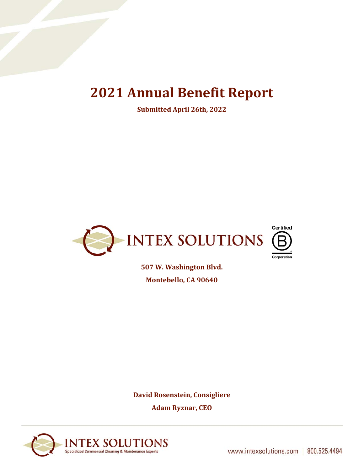# **2021 Annual Benefit Report**

**Submitted April 26th, 2022**



**507 W. Washington Blvd. Montebello, CA 90640**

**David Rosenstein, Consigliere Adam Ryznar, CEO**

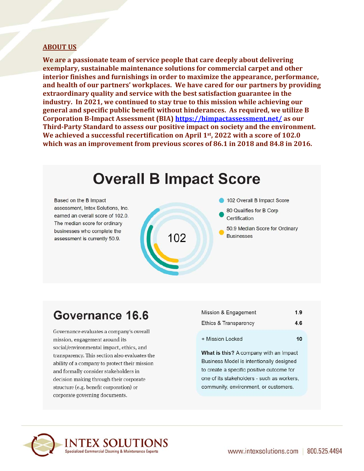#### **ABOUT US**

We are a passionate team of service people that care deeply about delivering exemplary, sustainable maintenance solutions for commercial carpet and other interior finishes and furnishings in order to maximize the appearance, performance, and health of our partners' workplaces. We have cared for our partners by providing extraordinary quality and service with the best satisfaction guarantee in the industry. In 2021, we continued to stay true to this mission while achieving our general and specific public benefit without hinderances. As required, we utilize B Corporation B-Impact Assessment (BIA) https://bimpactassessment.net/ as our Third-Party Standard to assess our positive impact on society and the environment. We achieved a successful recertification on April 1st, 2022 with a score of 102.0 which was an improvement from previous scores of 86.1 in 2018 and 84.8 in 2016.

# **Overall B Impact Score**

Based on the B Impact assessment, Intex Solutions, Inc. earned an overall score of 102.0. The median score for ordinary businesses who complete the assessment is currently 50.9.



102 Overall B Impact Score

- 80 Qualifies for B Corp Certification
- 50.9 Median Score for Ordinary **Businesses**

### Governance 16.6

Governance evaluates a company's overall mission, engagement around its social/environmental impact, ethics, and transparency. This section also evaluates the ability of a company to protect their mission and formally consider stakeholders in decision making through their corporate structure (e.g. benefit corporation) or corporate governing documents.

| Mission & Engagement  | 1.9 |
|-----------------------|-----|
| Ethics & Transparency | 4.6 |
| + Mission Locked      | 10  |

What is this? A company with an Impact Business Model is intentionally designed to create a specific positive outcome for one of its stakeholders - such as workers, community, environment, or customers.

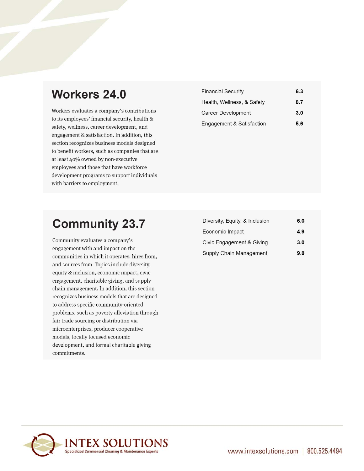### **Workers 24.0**

Workers evaluates a company's contributions to its employees' financial security, health & safety, wellness, career development, and engagement & satisfaction. In addition, this section recognizes business models designed to benefit workers, such as companies that are at least 40% owned by non-executive employees and those that have workforce development programs to support individuals with barriers to employment.

| <b>Financial Security</b>  | 6.3 |
|----------------------------|-----|
| Health, Wellness, & Safety | 8.7 |
| Career Development         | 3.0 |
| Engagement & Satisfaction  | 5.6 |

# **Community 23.7**

Community evaluates a company's engagement with and impact on the communities in which it operates, hires from, and sources from. Topics include diversity, equity & inclusion, economic impact, civic engagement, charitable giving, and supply chain management. In addition, this section recognizes business models that are designed to address specific community-oriented problems, such as poverty alleviation through fair trade sourcing or distribution via microenterprises, producer cooperative models, locally focused economic development, and formal charitable giving commitments.

| 6.0 |
|-----|
| 4.9 |
| 3.0 |
| 9.8 |
|     |

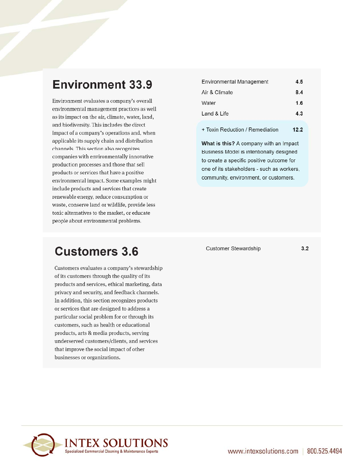# **Environment 33.9**

Environment evaluates a company's overall environmental management practices as well as its impact on the air, climate, water, land, and biodiversity. This includes the direct impact of a company's operations and, when applicable its supply chain and distribution channels. This section also recognizes companies with environmentally innovative production processes and those that sell products or services that have a positive environmental impact. Some examples might include products and services that create renewable energy, reduce consumption or waste, conserve land or wildlife, provide less toxic alternatives to the market, or educate people about environmental problems.

#### Environmental Management  $4.5$ Air & Climate  $8.4$  $1.6$ Water Land & Life  $4.3$ + Toxin Reduction / Remediation  $12.2$

What is this? A company with an Impact Business Model is intentionally designed to create a specific positive outcome for one of its stakeholders - such as workers, community, environment, or customers.

### **Customers 3.6**

Customers evaluates a company's stewardship of its customers through the quality of its products and services, ethical marketing, data privacy and security, and feedback channels. In addition, this section recognizes products or services that are designed to address a particular social problem for or through its customers, such as health or educational products, arts & media products, serving underserved customers/clients, and services that improve the social impact of other businesses or organizations.

**Customer Stewardship** 

 $3.2$ 

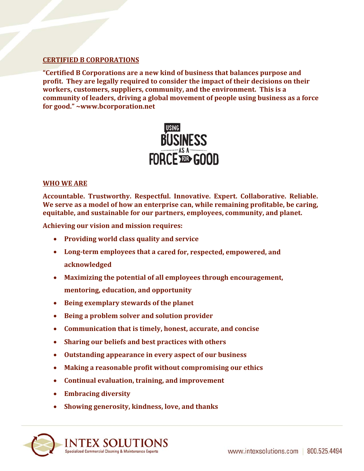#### **CERTIFIED B CORPORATIONS**

**"Certified B Corporations are a new kind of business that balances purpose and profit. They are legally required to consider the impact of their decisions on their workers, customers, suppliers, community, and the environment. This is a community of leaders, driving a global movement of people using business as a force for good." ~www.bcorporation.net**



#### **WHO WE ARE**

**Accountable. Trustworthy. Respectful. Innovative. Expert. Collaborative. Reliable. We serve as a model of how an enterprise can, while remaining profitable, be caring, equitable, and sustainable for our partners, employees, community, and planet.** 

**Achieving our vision and mission requires:**

- **Providing world class quality and service**
- **Long‐term employees that a cared for, respected, empowered, and acknowledged**
- **Maximizing the potential of all employees through encouragement, mentoring, education, and opportunity**
- **Being exemplary stewards of the planet**
- **Being a problem solver and solution provider**
- **Communication that is timely, honest, accurate, and concise**
- **Sharing our beliefs and best practices with others**
- **Outstanding appearance in every aspect of our business**
- **Making a reasonable profit without compromising our ethics**
- **Continual evaluation, training, and improvement**
- **Embracing diversity**
- **Showing generosity, kindness, love, and thanks**

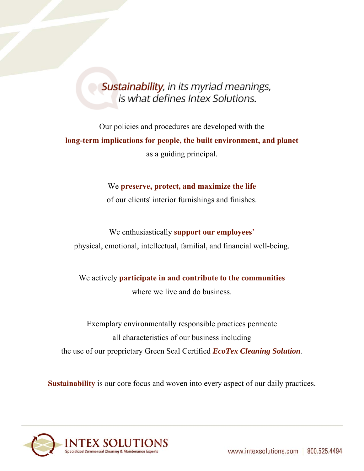### Sustainability, in its myriad meanings, is what defines Intex Solutions.

Our policies and procedures are developed with the **long-term implications for people, the built environment, and planet**  as a guiding principal.

> We **preserve, protect, and maximize the life**  of our clients' interior furnishings and finishes.

### We enthusiastically **support our employees**' physical, emotional, intellectual, familial, and financial well-being.

We actively **participate in and contribute to the communities** 

where we live and do business.

Exemplary environmentally responsible practices permeate all characteristics of our business including the use of our proprietary Green Seal Certified *EcoTex Cleaning Solution*.

**Sustainability** is our core focus and woven into every aspect of our daily practices.